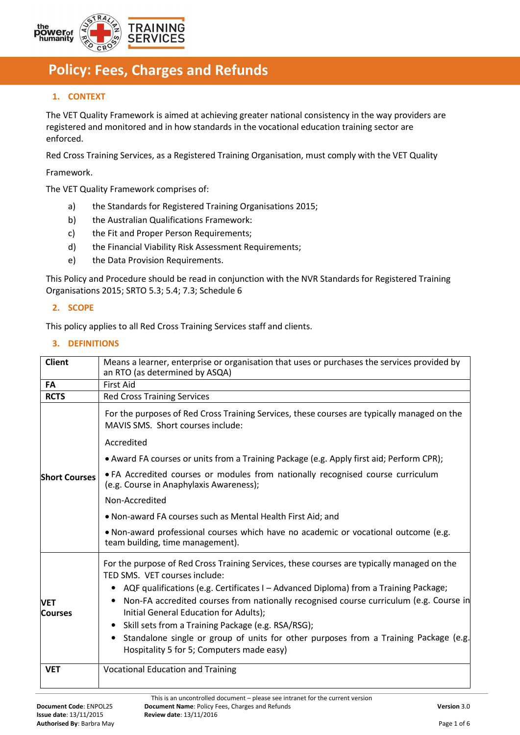

# **Fe Policy: Fees, Charges and Refunds**

# **1. CONTEXT**

The VET Quality Framework is aimed at achieving greater national consistency in the way providers are registered and monitored and in how standards in the vocational education training sector are enforced.

Red Cross Training Services, as a Registered Training Organisation, must comply with the VET Quality

Framework.

The VET Quality Framework comprises of:

- a) the Standards for Registered Training Organisations 2015;
- b) the Australian Qualifications Framework:
- c) the Fit and Proper Person Requirements;
- d) the Financial Viability Risk Assessment Requirements;
- e) the Data Provision Requirements.

This Policy and Procedure should be read in conjunction with the NVR Standards for Registered Training Organisations 2015; SRTO 5.3; 5.4; 7.3; Schedule 6

#### **2. SCOPE**

This policy applies to all Red Cross Training Services staff and clients.

# **3. DEFINITIONS**

| <b>Client</b>                | Means a learner, enterprise or organisation that uses or purchases the services provided by<br>an RTO (as determined by ASQA)                                                                                                 |  |  |
|------------------------------|-------------------------------------------------------------------------------------------------------------------------------------------------------------------------------------------------------------------------------|--|--|
| <b>FA</b>                    | <b>First Aid</b>                                                                                                                                                                                                              |  |  |
| <b>RCTS</b>                  | <b>Red Cross Training Services</b>                                                                                                                                                                                            |  |  |
|                              | For the purposes of Red Cross Training Services, these courses are typically managed on the<br>MAVIS SMS. Short courses include:                                                                                              |  |  |
|                              | Accredited                                                                                                                                                                                                                    |  |  |
|                              | • Award FA courses or units from a Training Package (e.g. Apply first aid; Perform CPR);                                                                                                                                      |  |  |
| <b>Short Courses</b>         | . FA Accredited courses or modules from nationally recognised course curriculum<br>(e.g. Course in Anaphylaxis Awareness);                                                                                                    |  |  |
|                              | Non-Accredited                                                                                                                                                                                                                |  |  |
|                              | . Non-award FA courses such as Mental Health First Aid; and                                                                                                                                                                   |  |  |
|                              | • Non-award professional courses which have no academic or vocational outcome (e.g.<br>team building, time management).                                                                                                       |  |  |
|                              | For the purpose of Red Cross Training Services, these courses are typically managed on the<br>TED SMS. VET courses include:                                                                                                   |  |  |
| <b>VET</b><br><b>Courses</b> | AQF qualifications (e.g. Certificates I – Advanced Diploma) from a Training Package;<br>٠<br>Non-FA accredited courses from nationally recognised course curriculum (e.g. Course in<br>Initial General Education for Adults); |  |  |
|                              | Skill sets from a Training Package (e.g. RSA/RSG);<br>$\bullet$<br>Standalone single or group of units for other purposes from a Training Package (e.g.<br>٠<br>Hospitality 5 for 5; Computers made easy)                     |  |  |
| <b>VET</b>                   | <b>Vocational Education and Training</b>                                                                                                                                                                                      |  |  |

This is an uncontrolled document – please see intranet for the current version **Document Code**: ENPOL25 **Document Name**: Policy Fees, Charges and Refunds **Version** 3.0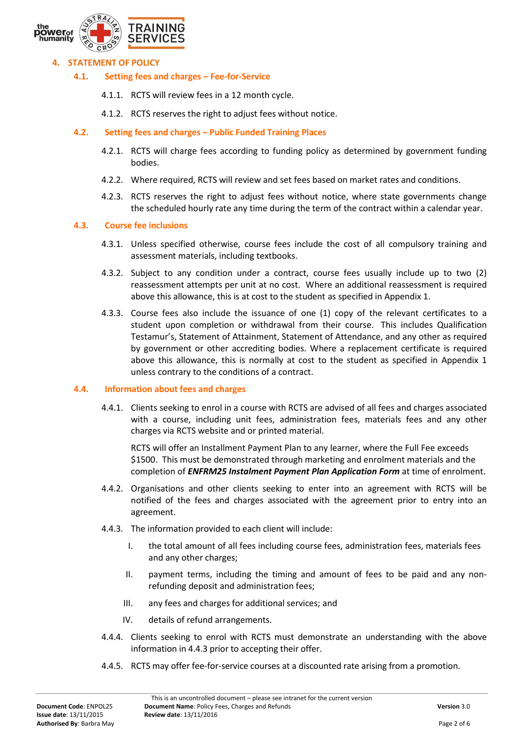

## **4. STATEMENT OF POLICY**

- **4.1. Setting fees and charges – Fee-for-Service**
	- 4.1.1. RCTS will review fees in a 12 month cycle.
	- 4.1.2. RCTS reserves the right to adjust fees without notice.

# **4.2. Setting fees and charges – Public Funded Training Places**

- 4.2.1. RCTS will charge fees according to funding policy as determined by government funding bodies.
- 4.2.2. Where required, RCTS will review and set fees based on market rates and conditions.
- 4.2.3. RCTS reserves the right to adjust fees without notice, where state governments change the scheduled hourly rate any time during the term of the contract within a calendar year.

#### **4.3. Course fee inclusions**

- 4.3.1. Unless specified otherwise, course fees include the cost of all compulsory training and assessment materials, including textbooks.
- 4.3.2. Subject to any condition under a contract, course fees usually include up to two (2) reassessment attempts per unit at no cost. Where an additional reassessment is required above this allowance, this is at cost to the student as specified in Appendix 1.
- 4.3.3. Course fees also include the issuance of one (1) copy of the relevant certificates to a student upon completion or withdrawal from their course. This includes Qualification Testamur's, Statement of Attainment, Statement of Attendance, and any other as required by government or other accrediting bodies. Where a replacement certificate is required above this allowance, this is normally at cost to the student as specified in Appendix 1 unless contrary to the conditions of a contract.

#### **4.4. Information about fees and charges**

4.4.1. Clients seeking to enrol in a course with RCTS are advised of all fees and charges associated with a course, including unit fees, administration fees, materials fees and any other charges via RCTS website and or printed material.

RCTS will offer an Installment Payment Plan to any learner, where the Full Fee exceeds \$1500. This must be demonstrated through marketing and enrolment materials and the completion of *ENFRM25 Instalment Payment Plan Application Form* at time of enrolment.

- 4.4.2. Organisations and other clients seeking to enter into an agreement with RCTS will be notified of the fees and charges associated with the agreement prior to entry into an agreement.
- 4.4.3. The information provided to each client will include:
	- I. the total amount of all fees including course fees, administration fees, materials fees and any other charges;
	- II. payment terms, including the timing and amount of fees to be paid and any nonrefunding deposit and administration fees;
	- III. any fees and charges for additional services; and
	- IV. details of refund arrangements.
- 4.4.4. Clients seeking to enrol with RCTS must demonstrate an understanding with the above information in 4.4.3 prior to accepting their offer.
- 4.4.5. RCTS may offer fee-for-service courses at a discounted rate arising from a promotion.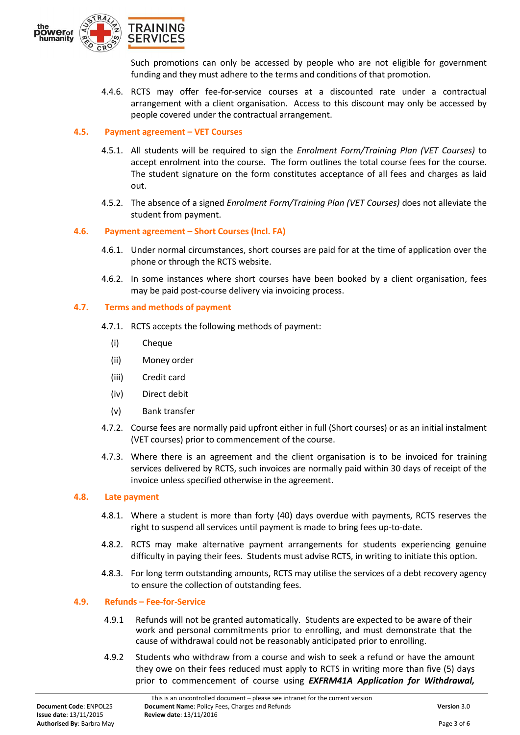

Such promotions can only be accessed by people who are not eligible for government funding and they must adhere to the terms and conditions of that promotion.

4.4.6. RCTS may offer fee-for-service courses at a discounted rate under a contractual arrangement with a client organisation. Access to this discount may only be accessed by people covered under the contractual arrangement.

## **4.5. Payment agreement – VET Courses**

- 4.5.1. All students will be required to sign the *Enrolment Form/Training Plan (VET Courses)* to accept enrolment into the course. The form outlines the total course fees for the course. The student signature on the form constitutes acceptance of all fees and charges as laid out.
- 4.5.2. The absence of a signed *Enrolment Form/Training Plan (VET Courses)* does not alleviate the student from payment.

# **4.6. Payment agreement – Short Courses (Incl. FA)**

- 4.6.1. Under normal circumstances, short courses are paid for at the time of application over the phone or through the RCTS website.
- 4.6.2. In some instances where short courses have been booked by a client organisation, fees may be paid post-course delivery via invoicing process.

# **4.7. Terms and methods of payment**

- 4.7.1. RCTS accepts the following methods of payment:
	- (i) Cheque
	- (ii) Money order
	- (iii) Credit card
	- (iv) Direct debit
	- (v) Bank transfer
- 4.7.2. Course fees are normally paid upfront either in full (Short courses) or as an initial instalment (VET courses) prior to commencement of the course.
- 4.7.3. Where there is an agreement and the client organisation is to be invoiced for training services delivered by RCTS, such invoices are normally paid within 30 days of receipt of the invoice unless specified otherwise in the agreement.

#### **4.8. Late payment**

- 4.8.1. Where a student is more than forty (40) days overdue with payments, RCTS reserves the right to suspend all services until payment is made to bring fees up-to-date.
- 4.8.2. RCTS may make alternative payment arrangements for students experiencing genuine difficulty in paying their fees. Students must advise RCTS, in writing to initiate this option.
- 4.8.3. For long term outstanding amounts, RCTS may utilise the services of a debt recovery agency to ensure the collection of outstanding fees.

#### **4.9. Refunds – Fee-for-Service**

- 4.9.1 Refunds will not be granted automatically. Students are expected to be aware of their work and personal commitments prior to enrolling, and must demonstrate that the cause of withdrawal could not be reasonably anticipated prior to enrolling.
- 4.9.2 Students who withdraw from a course and wish to seek a refund or have the amount they owe on their fees reduced must apply to RCTS in writing more than five (5) days prior to commencement of course using *EXFRM41A Application for Withdrawal,*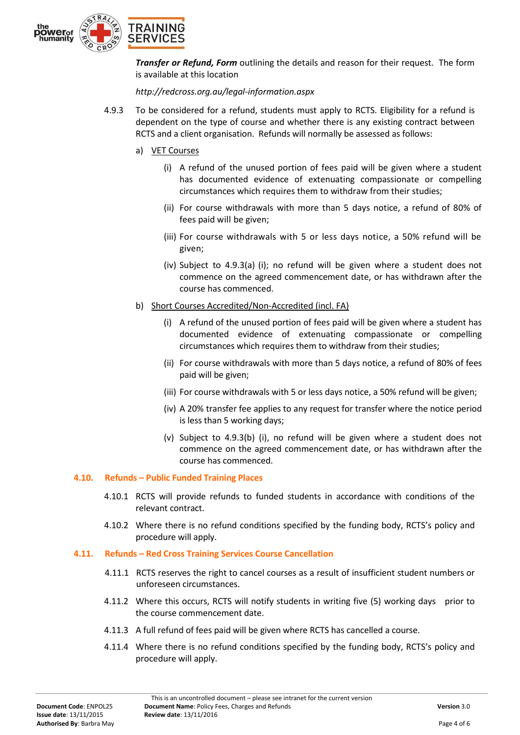

*Transfer or Refund, Form* outlining the details and reason for their request. The form is available at this location

*http://redcross.org.au/legal-information.aspx*

- 4.9.3 To be considered for a refund, students must apply to RCTS. Eligibility for a refund is dependent on the type of course and whether there is any existing contract between RCTS and a client organisation. Refunds will normally be assessed as follows:
	- a) VET Courses
		- (i) A refund of the unused portion of fees paid will be given where a student has documented evidence of extenuating compassionate or compelling circumstances which requires them to withdraw from their studies;
		- (ii) For course withdrawals with more than 5 days notice, a refund of 80% of fees paid will be given;
		- (iii) For course withdrawals with 5 or less days notice, a 50% refund will be given;
		- (iv) Subject to 4.9.3(a) (i); no refund will be given where a student does not commence on the agreed commencement date, or has withdrawn after the course has commenced.
	- b) Short Courses Accredited/Non-Accredited (incl. FA)
		- (i) A refund of the unused portion of fees paid will be given where a student has documented evidence of extenuating compassionate or compelling circumstances which requires them to withdraw from their studies;
		- (ii) For course withdrawals with more than 5 days notice, a refund of 80% of fees paid will be given;
		- (iii) For course withdrawals with 5 or less days notice, a 50% refund will be given;
		- (iv) A 20% transfer fee applies to any request for transfer where the notice period is less than 5 working days;
		- (v) Subject to 4.9.3(b) (i), no refund will be given where a student does not commence on the agreed commencement date, or has withdrawn after the course has commenced.

# **4.10. Refunds – Public Funded Training Places**

- 4.10.1 RCTS will provide refunds to funded students in accordance with conditions of the relevant contract.
- 4.10.2 Where there is no refund conditions specified by the funding body, RCTS's policy and procedure will apply.

#### **4.11. Refunds – Red Cross Training Services Course Cancellation**

- 4.11.1 RCTS reserves the right to cancel courses as a result of insufficient student numbers or unforeseen circumstances.
- 4.11.2 Where this occurs, RCTS will notify students in writing five (5) working days prior to the course commencement date.
- 4.11.3 A full refund of fees paid will be given where RCTS has cancelled a course.
- 4.11.4 Where there is no refund conditions specified by the funding body, RCTS's policy and procedure will apply.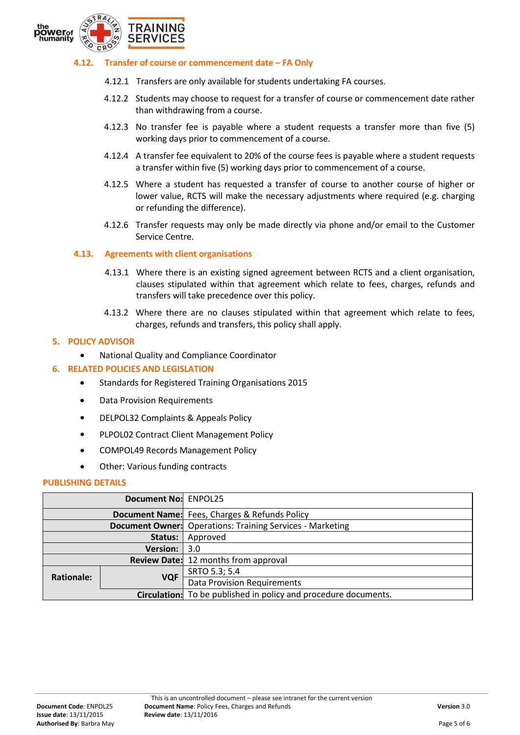

#### **4.12. Transfer of course or commencement date – FA Only**

- 4.12.1 Transfers are only available for students undertaking FA courses.
- 4.12.2 Students may choose to request for a transfer of course or commencement date rather than withdrawing from a course.
- 4.12.3 No transfer fee is payable where a student requests a transfer more than five (5) working days prior to commencement of a course.
- 4.12.4 A transfer fee equivalent to 20% of the course fees is payable where a student requests a transfer within five (5) working days prior to commencement of a course.
- 4.12.5 Where a student has requested a transfer of course to another course of higher or lower value, RCTS will make the necessary adjustments where required (e.g. charging or refunding the difference).
- 4.12.6 Transfer requests may only be made directly via phone and/or email to the Customer Service Centre.

#### **4.13. Agreements with client organisations**

- 4.13.1 Where there is an existing signed agreement between RCTS and a client organisation, clauses stipulated within that agreement which relate to fees, charges, refunds and transfers will take precedence over this policy.
- 4.13.2 Where there are no clauses stipulated within that agreement which relate to fees, charges, refunds and transfers, this policy shall apply.

## **5. POLICY ADVISOR**

National Quality and Compliance Coordinator

#### **6. RELATED POLICIES AND LEGISLATION**

- Standards for Registered Training Organisations 2015
- Data Provision Requirements
- DELPOL32 Complaints & Appeals Policy
- PLPOL02 Contract Client Management Policy
- COMPOL49 Records Management Policy
- Other: Various funding contracts

#### **PUBLISHING DETAILS**

| Document No: ENPOL25 |            |                                                                        |
|----------------------|------------|------------------------------------------------------------------------|
|                      |            | <b>Document Name:</b> Fees, Charges & Refunds Policy                   |
|                      |            | <b>Document Owner:</b> Operations: Training Services - Marketing       |
| Status:              |            | Approved                                                               |
| <b>Version:</b>      |            | 3.0                                                                    |
|                      |            | <b>Review Date:</b> 12 months from approval                            |
| <b>Rationale:</b>    | <b>VQF</b> | SRTO 5.3; 5.4                                                          |
|                      |            | <b>Data Provision Requirements</b>                                     |
|                      |            | <b>Circulation:</b> To be published in policy and procedure documents. |